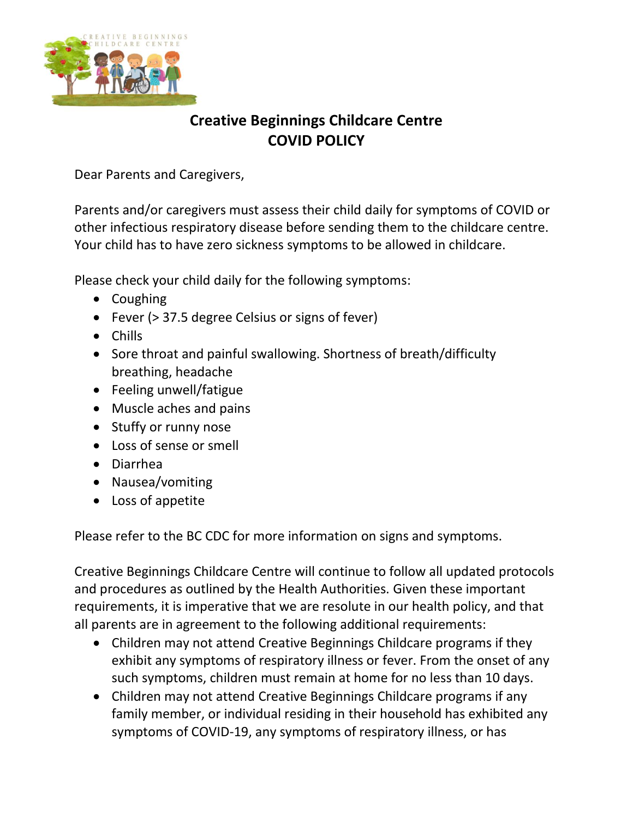

## **Creative Beginnings Childcare Centre COVID POLICY**

Dear Parents and Caregivers,

Parents and/or caregivers must assess their child daily for symptoms of COVID or other infectious respiratory disease before sending them to the childcare centre. Your child has to have zero sickness symptoms to be allowed in childcare.

Please check your child daily for the following symptoms:

- Coughing
- Fever (> 37.5 degree Celsius or signs of fever)
- Chills
- Sore throat and painful swallowing. Shortness of breath/difficulty breathing, headache
- Feeling unwell/fatigue
- Muscle aches and pains
- Stuffy or runny nose
- Loss of sense or smell
- Diarrhea
- Nausea/vomiting
- Loss of appetite

Please refer to the BC CDC for more information on signs and symptoms.

Creative Beginnings Childcare Centre will continue to follow all updated protocols and procedures as outlined by the Health Authorities. Given these important requirements, it is imperative that we are resolute in our health policy, and that all parents are in agreement to the following additional requirements:

- Children may not attend Creative Beginnings Childcare programs if they exhibit any symptoms of respiratory illness or fever. From the onset of any such symptoms, children must remain at home for no less than 10 days.
- Children may not attend Creative Beginnings Childcare programs if any family member, or individual residing in their household has exhibited any symptoms of COVID-19, any symptoms of respiratory illness, or has